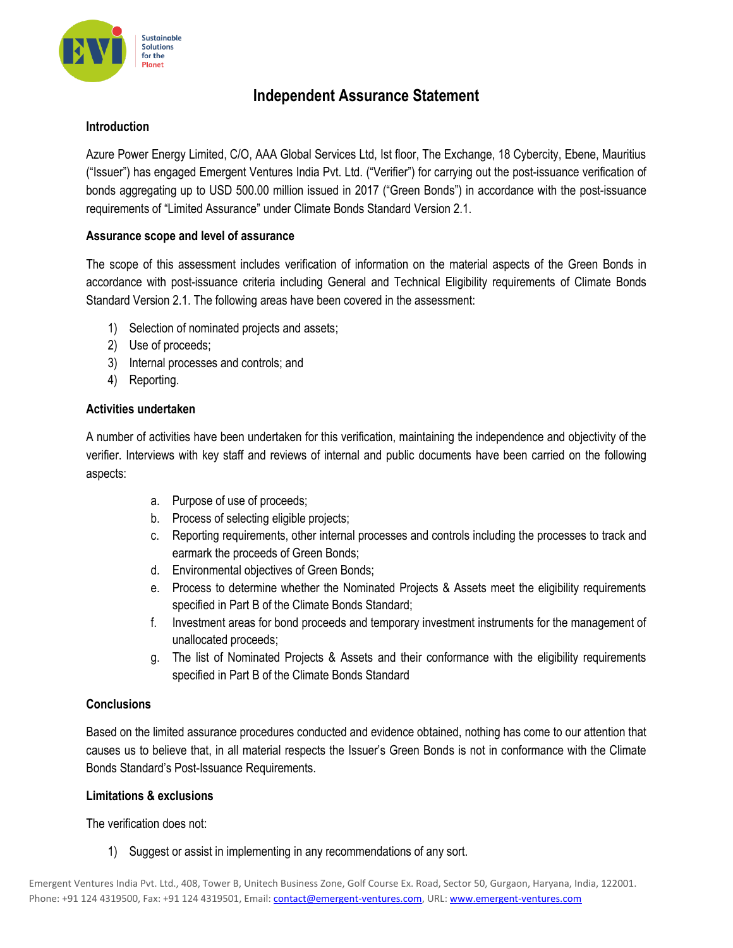

# **Independent Assurance Statement**

# **Introduction**

Azure Power Energy Limited, C/O, AAA Global Services Ltd, Ist floor, The Exchange, 18 Cybercity, Ebene, Mauritius ("Issuer") has engaged Emergent Ventures India Pvt. Ltd. ("Verifier") for carrying out the post-issuance verification of bonds aggregating up to USD 500.00 million issued in 2017 ("Green Bonds") in accordance with the post-issuance requirements of "Limited Assurance" under Climate Bonds Standard Version 2.1.

## **Assurance scope and level of assurance**

The scope of this assessment includes verification of information on the material aspects of the Green Bonds in accordance with post-issuance criteria including General and Technical Eligibility requirements of Climate Bonds Standard Version 2.1. The following areas have been covered in the assessment:

- 1) Selection of nominated projects and assets;
- 2) Use of proceeds;
- 3) Internal processes and controls; and
- 4) Reporting.

#### **Activities undertaken**

A number of activities have been undertaken for this verification, maintaining the independence and objectivity of the verifier. Interviews with key staff and reviews of internal and public documents have been carried on the following aspects:

- a. Purpose of use of proceeds;
- b. Process of selecting eligible projects;
- c. Reporting requirements, other internal processes and controls including the processes to track and earmark the proceeds of Green Bonds;
- d. Environmental objectives of Green Bonds;
- e. Process to determine whether the Nominated Projects & Assets meet the eligibility requirements specified in Part B of the Climate Bonds Standard;
- f. Investment areas for bond proceeds and temporary investment instruments for the management of unallocated proceeds;
- g. The list of Nominated Projects & Assets and their conformance with the eligibility requirements specified in Part B of the Climate Bonds Standard

#### **Conclusions**

Based on the limited assurance procedures conducted and evidence obtained, nothing has come to our attention that causes us to believe that, in all material respects the Issuer's Green Bonds is not in conformance with the Climate Bonds Standard's Post-Issuance Requirements.

#### **Limitations & exclusions**

The verification does not:

1) Suggest or assist in implementing in any recommendations of any sort.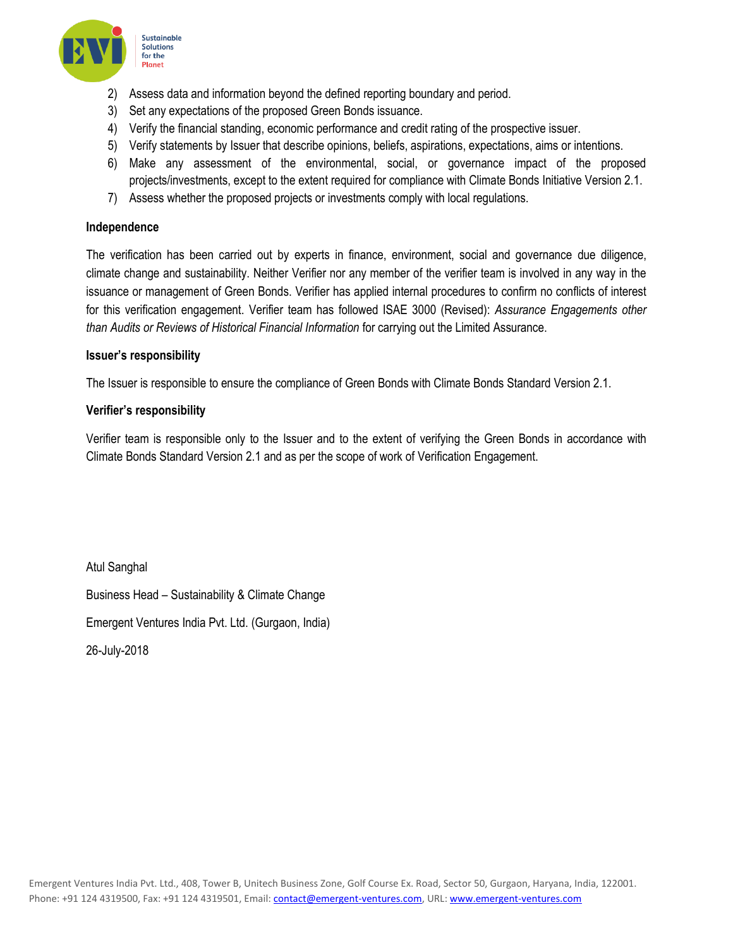

- 2) Assess data and information beyond the defined reporting boundary and period.
- 3) Set any expectations of the proposed Green Bonds issuance.
- 4) Verify the financial standing, economic performance and credit rating of the prospective issuer.
- 5) Verify statements by Issuer that describe opinions, beliefs, aspirations, expectations, aims or intentions.
- 6) Make any assessment of the environmental, social, or governance impact of the proposed projects/investments, except to the extent required for compliance with Climate Bonds Initiative Version 2.1.
- 7) Assess whether the proposed projects or investments comply with local regulations.

### **Independence**

The verification has been carried out by experts in finance, environment, social and governance due diligence, climate change and sustainability. Neither Verifier nor any member of the verifier team is involved in any way in the issuance or management of Green Bonds. Verifier has applied internal procedures to confirm no conflicts of interest for this verification engagement. Verifier team has followed ISAE 3000 (Revised): *Assurance Engagements other than Audits or Reviews of Historical Financial Information* for carrying out the Limited Assurance.

#### **Issuer's responsibility**

The Issuer is responsible to ensure the compliance of Green Bonds with Climate Bonds Standard Version 2.1.

## **Verifier's responsibility**

Verifier team is responsible only to the Issuer and to the extent of verifying the Green Bonds in accordance with Climate Bonds Standard Version 2.1 and as per the scope of work of Verification Engagement.

Atul Sanghal Business Head – Sustainability & Climate Change Emergent Ventures India Pvt. Ltd. (Gurgaon, India) 26-July-2018